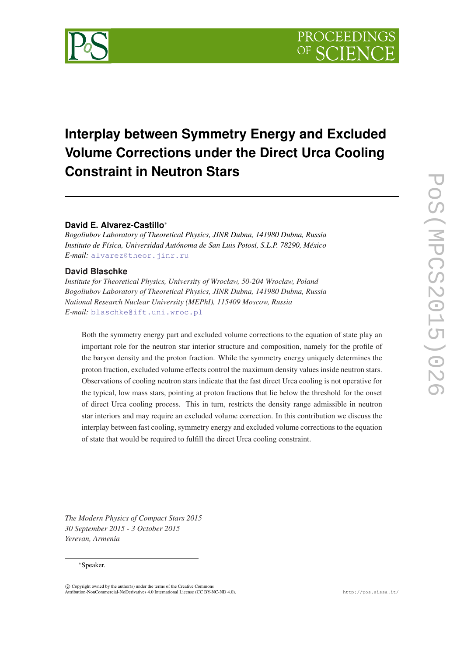# **Interplay between Symmetry Energy and Excluded Volume Corrections under the Direct Urca Cooling Constraint in Neutron Stars**

# **David E. Alvarez-Castillo**<sup>∗</sup>

*Bogoliubov Laboratory of Theoretical Physics, JINR Dubna, 141980 Dubna, Russia Instituto de Física, Universidad Autónoma de San Luis Potosí, S.L.P. 78290, México E-mail:* [alvarez@theor.jinr.ru](mailto:alvarez@theor.jinr.ru)

# **David Blaschke**

*Institute for Theoretical Physics, University of Wrocław, 50-204 Wrocław, Poland Bogoliubov Laboratory of Theoretical Physics, JINR Dubna, 141980 Dubna, Russia National Research Nuclear University (MEPhI), 115409 Moscow, Russia E-mail:* [blaschke@ift.uni.wroc.pl](mailto:blaschke@ift.uni.wroc.pl)

Both the symmetry energy part and excluded volume corrections to the equation of state play an important role for the neutron star interior structure and composition, namely for the profile of the baryon density and the proton fraction. While the symmetry energy uniquely determines the proton fraction, excluded volume effects control the maximum density values inside neutron stars. Observations of cooling neutron stars indicate that the fast direct Urca cooling is not operative for the typical, low mass stars, pointing at proton fractions that lie below the threshold for the onset of direct Urca cooling process. This in turn, restricts the density range admissible in neutron star interiors and may require an excluded volume correction. In this contribution we discuss the interplay between fast cooling, symmetry energy and excluded volume corrections to the equation of state that would be required to fulfill the direct Urca cooling constraint.

*The Modern Physics of Compact Stars 2015 30 September 2015 - 3 October 2015 Yerevan, Armenia*

#### <sup>∗</sup>Speaker.

 $\overline{c}$  Copyright owned by the author(s) under the terms of the Creative Common Attribution-NonCommercial-NoDerivatives 4.0 International License (CC BY-NC-ND 4.0). http://pos.sissa.it/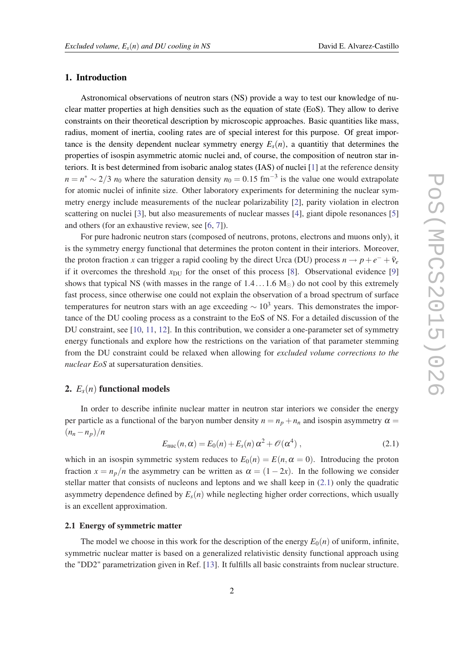#### <span id="page-1-0"></span>1. Introduction

Astronomical observations of neutron stars (NS) provide a way to test our knowledge of nuclear matter properties at high densities such as the equation of state (EoS). They allow to derive constraints on their theoretical description by microscopic approaches. Basic quantities like mass, radius, moment of inertia, cooling rates are of special interest for this purpose. Of great importance is the density dependent nuclear symmetry energy  $E_s(n)$ , a quantitiy that determines the properties of isospin asymmetric atomic nuclei and, of course, the composition of neutron star interiors. It is best determined from isobaric analog states (IAS) of nuclei [\[1\]](#page-8-0) at the reference density  $n = n^* \sim 2/3$  *n*<sub>0</sub> where the saturation density  $n_0 = 0.15$  fm<sup>-3</sup> is the value one would extrapolate for atomic nuclei of infinite size. Other laboratory experiments for determining the nuclear symmetry energy include measurements of the nuclear polarizability [[2](#page-8-0)], parity violation in electron scattering on nuclei [[3](#page-8-0)], but also measurements of nuclear masses [\[4\]](#page-8-0), giant dipole resonances [[5](#page-8-0)] and others (for an exhaustive review, see [\[6,](#page-8-0) [7\]](#page-8-0)).

For pure hadronic neutron stars (composed of neutrons, protons, electrons and muons only), it is the symmetry energy functional that determines the proton content in their interiors. Moreover, the proton fraction *x* can trigger a rapid cooling by the direct Urca (DU) process  $n \rightarrow p + e^- + \bar{v}_e$ if it overcomes the threshold  $x_{DU}$  for the onset of this process [[8](#page-8-0)]. Observational evidence [[9](#page-8-0)] shows that typical NS (with masses in the range of  $1.4...1.6 M_{\odot}$ ) do not cool by this extremely fast process, since otherwise one could not explain the observation of a broad spectrum of surface temperatures for neutron stars with an age exceeding  $\sim 10^3$  years. This demonstrates the importance of the DU cooling process as a constraint to the EoS of NS. For a detailed discussion of the DU constraint, see [[10,](#page-8-0) [11,](#page-9-0) [12](#page-9-0)]. In this contribution, we consider a one-parameter set of symmetry energy functionals and explore how the restrictions on the variation of that parameter stemming from the DU constraint could be relaxed when allowing for *excluded volume corrections to the nuclear EoS* at supersaturation densities.

# 2.  $E_s(n)$  functional models

In order to describe infinite nuclear matter in neutron star interiors we consider the energy per particle as a functional of the baryon number density  $n = n_p + n_n$  and isospin asymmetry  $\alpha =$  $\left(n_n - n_p\right)/n$ 

$$
E_{\rm nuc}(n,\alpha) = E_0(n) + E_s(n)\,\alpha^2 + \mathcal{O}(\alpha^4) \;, \tag{2.1}
$$

which in an isospin symmetric system reduces to  $E_0(n) = E(n, \alpha = 0)$ . Introducing the proton fraction  $x = n_p/n$  the asymmetry can be written as  $\alpha = (1 - 2x)$ . In the following we consider stellar matter that consists of nucleons and leptons and we shall keep in (2.1) only the quadratic asymmetry dependence defined by  $E_s(n)$  while neglecting higher order corrections, which usually is an excellent approximation.

#### 2.1 Energy of symmetric matter

The model we choose in this work for the description of the energy  $E_0(n)$  of uniform, infinite, symmetric nuclear matter is based on a generalized relativistic density functional approach using the "DD2" parametrization given in Ref. [\[13](#page-9-0)]. It fulfills all basic constraints from nuclear structure.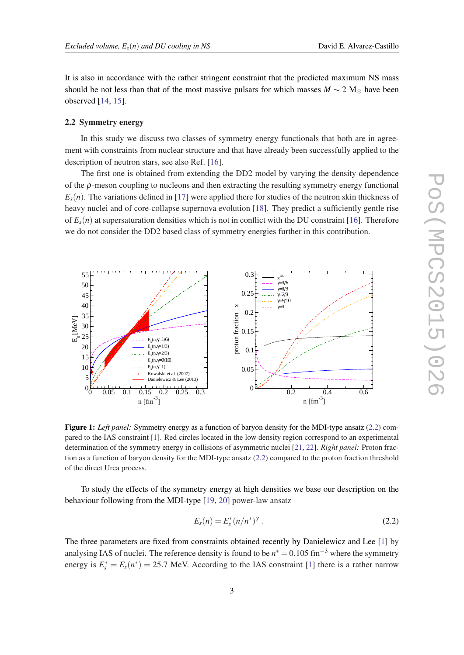<span id="page-2-0"></span>It is also in accordance with the rather stringent constraint that the predicted maximum NS mass should be not less than that of the most massive pulsars for which masses  $M \sim 2 \text{ M}_{\odot}$  have been observed [[14,](#page-9-0) [15](#page-9-0)].

#### 2.2 Symmetry energy

In this study we discuss two classes of symmetry energy functionals that both are in agreement with constraints from nuclear structure and that have already been successfully applied to the description of neutron stars, see also Ref. [[16\]](#page-9-0).

The first one is obtained from extending the DD2 model by varying the density dependence of the ρ-meson coupling to nucleons and then extracting the resulting symmetry energy functional  $E_s(n)$ . The variations defined in [[17\]](#page-9-0) were applied there for studies of the neutron skin thickness of heavy nuclei and of core-collapse supernova evolution [[18\]](#page-9-0). They predict a sufficiently gentle rise of  $E_s(n)$  at supersaturation densities which is not in conflict with the DU constraint [\[16](#page-9-0)]. Therefore we do not consider the DD2 based class of symmetry energies further in this contribution.



Figure 1: *Left panel:* Symmetry energy as a function of baryon density for the MDI-type ansatz (2.2) compared to the IAS constraint [[1\]](#page-8-0). Red circles located in the low density region correspond to an experimental determination of the symmetry energy in collisions of asymmetric nuclei [\[21](#page-9-0), [22\]](#page-9-0). *Right panel:* Proton fraction as a function of baryon density for the MDI-type ansatz (2.2) compared to the proton fraction threshold of the direct Urca process.

To study the effects of the symmetry energy at high densities we base our description on the behaviour following from the MDI-type [\[19](#page-9-0), [20\]](#page-9-0) power-law ansatz

$$
E_s(n) = E_s^*(n/n^*)^{\gamma} \ . \tag{2.2}
$$

The three parameters are fixed from constraints obtained recently by Danielewicz and Lee [[1](#page-8-0)] by analysing IAS of nuclei. The reference density is found to be  $n^* = 0.105$  fm<sup>-3</sup> where the symmetry energy is  $E_s^* = E_s(n^*) = 25.7$  MeV. According to the IAS constraint [\[1\]](#page-8-0) there is a rather narrow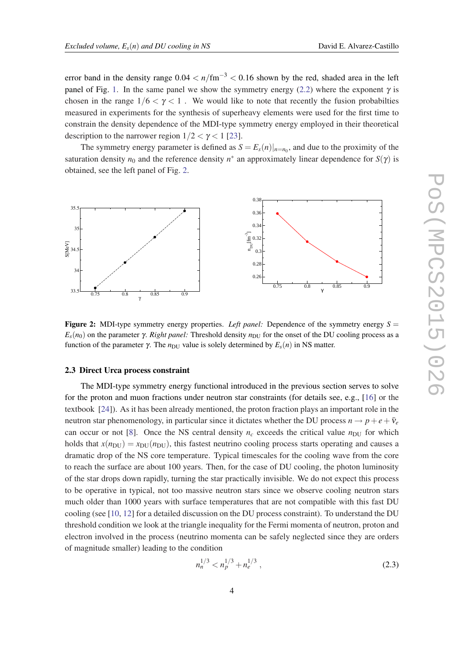<span id="page-3-0"></span>error band in the density range  $0.04 < n/\text{fm}^{-3} < 0.16$  shown by the red, shaded area in the left panel of Fig. [1.](#page-2-0) In the same panel we show the symmetry energy [\(2.2\)](#page-2-0) where the exponent  $\gamma$  is chosen in the range  $1/6 < \gamma < 1$ . We would like to note that recently the fusion probabilties measured in experiments for the synthesis of superheavy elements were used for the first time to constrain the density dependence of the MDI-type symmetry energy employed in their theoretical description to the narrower region  $1/2 < \gamma < 1$  [\[23](#page-9-0)].

The symmetry energy parameter is defined as  $S = E_s(n)|_{n=n_0}$ , and due to the proximity of the saturation density  $n_0$  and the reference density  $n^*$  an approximately linear dependence for  $S(\gamma)$  is obtained, see the left panel of Fig. 2.



**Figure 2:** MDI-type symmetry energy properties. Left panel: Dependence of the symmetry energy  $S =$  $E_s(n_0)$  on the parameter  $\gamma$ . *Right panel:* Threshold density  $n_{\text{DU}}$  for the onset of the DU cooling process as a function of the parameter γ. The  $n_{\text{DU}}$  value is solely determined by  $E_s(n)$  in NS matter.

#### 2.3 Direct Urca process constraint

The MDI-type symmetry energy functional introduced in the previous section serves to solve for the proton and muon fractions under neutron star constraints (for details see, e.g., [\[16](#page-9-0)] or the textbook [[24\]](#page-9-0)). As it has been already mentioned, the proton fraction plays an important role in the neutron star phenomenology, in particular since it dictates whether the DU process  $n \rightarrow p + e + \bar{v}_e$ can occur or not [\[8\]](#page-8-0). Once the NS central density  $n_c$  exceeds the critical value  $n_{\text{DU}}$  for which holds that  $x(n_{\text{DU}}) = x_{\text{DU}}(n_{\text{DU}})$ , this fastest neutrino cooling process starts operating and causes a dramatic drop of the NS core temperature. Typical timescales for the cooling wave from the core to reach the surface are about 100 years. Then, for the case of DU cooling, the photon luminosity of the star drops down rapidly, turning the star practically invisible. We do not expect this process to be operative in typical, not too massive neutron stars since we observe cooling neutron stars much older than 1000 years with surface temperatures that are not compatible with this fast DU cooling (see [[10,](#page-8-0) [12\]](#page-9-0) for a detailed discussion on the DU process constraint). To understand the DU threshold condition we look at the triangle inequality for the Fermi momenta of neutron, proton and electron involved in the process (neutrino momenta can be safely neglected since they are orders of magnitude smaller) leading to the condition

$$
n_n^{1/3} < n_p^{1/3} + n_e^{1/3} \tag{2.3}
$$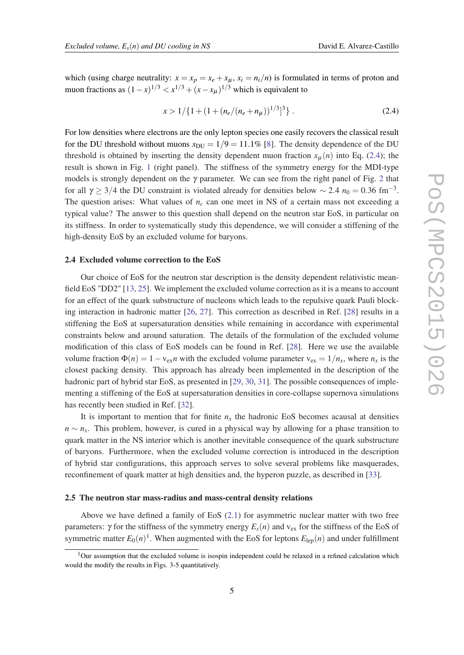$$
x > 1/{1 + (1 + (n_e/(n_e + n_\mu))^{1/3})^3}.
$$
 (2.4)

For low densities where electrons are the only lepton species one easily recovers the classical result for the DU threshold without muons  $x_{\text{DU}} = 1/9 = 11.1\%$  [\[8\]](#page-8-0). The density dependence of the DU threshold is obtained by inserting the density dependent muon fraction  $x<sub>µ</sub>(n)$  into Eq. (2.4); the result is shown in Fig. [1](#page-2-0) (right panel). The stiffness of the symmetry energy for the MDI-type models is strongly dependent on the  $\gamma$  parameter. We can see from the right panel of Fig. [2](#page-3-0) that for all  $\gamma \geq 3/4$  the DU constraint is violated already for densities below  $\sim 2.4 n_0 = 0.36$  fm<sup>-3</sup>. The question arises: What values of  $n<sub>c</sub>$  can one meet in NS of a certain mass not exceeding a typical value? The answer to this question shall depend on the neutron star EoS, in particular on its stiffness. In order to systematically study this dependence, we will consider a stiffening of the high-density EoS by an excluded volume for baryons.

#### 2.4 Excluded volume correction to the EoS

Our choice of EoS for the neutron star description is the density dependent relativistic meanfield EoS "DD2" [\[13](#page-9-0), [25](#page-9-0)]. We implement the excluded volume correction as it is a means to account for an effect of the quark substructure of nucleons which leads to the repulsive quark Pauli blocking interaction in hadronic matter [\[26](#page-9-0), [27](#page-9-0)]. This correction as described in Ref. [\[28](#page-9-0)] results in a stiffening the EoS at supersaturation densities while remaining in accordance with experimental constraints below and around saturation. The details of the formulation of the excluded volume modification of this class of EoS models can be found in Ref. [[28](#page-9-0)]. Here we use the available volume fraction  $\Phi(n) = 1 - v_{ex}n$  with the excluded volume parameter  $v_{ex} = 1/n_x$ , where  $n_x$  is the closest packing density. This approach has already been implemented in the description of the hadronic part of hybrid star EoS, as presented in [[29](#page-9-0), [30,](#page-9-0) [31\]](#page-9-0). The possible consequences of implementing a stiffening of the EoS at supersaturation densities in core-collapse supernova simulations has recently been studied in Ref. [\[32](#page-9-0)].

It is important to mention that for finite  $n<sub>x</sub>$  the hadronic EoS becomes acausal at densities *n* ∼ *n<sub>x</sub>*. This problem, however, is cured in a physical way by allowing for a phase transition to quark matter in the NS interior which is another inevitable consequence of the quark substructure of baryons. Furthermore, when the excluded volume correction is introduced in the description of hybrid star configurations, this approach serves to solve several problems like masquerades, reconfinement of quark matter at high densities and, the hyperon puzzle, as described in [[33\]](#page-9-0).

### 2.5 The neutron star mass-radius and mass-central density relations

Above we have defined a family of EoS ([2.1\)](#page-1-0) for asymmetric nuclear matter with two free parameters: γ for the stiffness of the symmetry energy  $E<sub>s</sub>(n)$  and  $v<sub>ex</sub>$  for the stiffness of the EoS of symmetric matter  $E_0(n)^1$ . When augmented with the EoS for leptons  $E_{\text{lep}}(n)$  and under fulfillment

 $1$ Our assumption that the excluded volume is isospin independent could be relaxed in a refined calculation which would the modify the results in Figs. 3-5 quantitatively.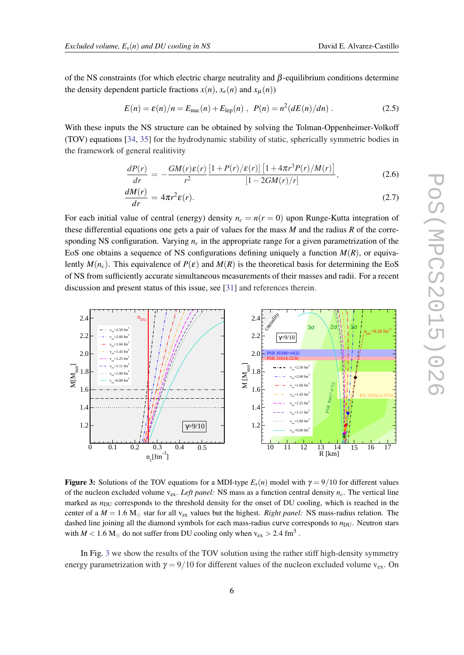<span id="page-5-0"></span>of the NS constraints (for which electric charge neutrality and β-equilibrium conditions determine the density dependent particle fractions  $x(n)$ ,  $x_e(n)$  and  $x_u(n)$ )

$$
E(n) = \varepsilon(n)/n = E_{\text{nuc}}(n) + E_{\text{lep}}(n) , \ \ P(n) = n^2(dE(n)/dn) . \tag{2.5}
$$

With these inputs the NS structure can be obtained by solving the Tolman-Oppenheimer-Volkoff (TOV) equations [\[34](#page-9-0), [35\]](#page-9-0) for the hydrodynamic stability of static, spherically symmetric bodies in the framework of general realitivity

$$
\frac{dP(r)}{dr} = -\frac{GM(r)\varepsilon(r)}{r^2} \frac{[1+P(r)/\varepsilon(r)] [1+4\pi r^3 P(r)/M(r)]}{[1-2GM(r)/r]},
$$
\n(2.6)

$$
\frac{dM(r)}{dr} = 4\pi r^2 \varepsilon(r). \tag{2.7}
$$

For each initial value of central (energy) density  $n_c = n(r = 0)$  upon Runge-Kutta integration of these differential equations one gets a pair of values for the mass *M* and the radius *R* of the corresponding NS configuration. Varying  $n_c$  in the appropriate range for a given parametrization of the EoS one obtains a sequence of NS configurations defining uniquely a function  $M(R)$ , or equivalently  $M(n_c)$ . This equivalence of  $P(\varepsilon)$  and  $M(R)$  is the theoretical basis for determining the EoS of NS from sufficiently accurate simultaneous measurements of their masses and radii. For a recent discussion and present status of this issue, see [[31\]](#page-9-0) and references therein.



**Figure 3:** Solutions of the TOV equations for a MDI-type  $E_s(n)$  model with  $\gamma = 9/10$  for different values of the nucleon excluded volume  $v_{ex}$ . *Left panel:* NS mass as a function central density  $n_c$ . The vertical line marked as  $n_{\text{DU}}$  corresponds to the threshold density for the onset of DU cooling, which is reached in the center of a  $M = 1.6$  M<sub>\opdot</sub> star for all v<sub>ex</sub> values but the highest. *Right panel:* NS mass-radius relation. The dashed line joining all the diamond symbols for each mass-radius curve corresponds to  $n_{\text{DU}}$ . Neutron stars with  $M < 1.6$  M<sub>☉</sub> do not suffer from DU cooling only when  $v_{ex} > 2.4$  fm<sup>3</sup>.

In Fig. 3 we show the results of the TOV solution using the rather stiff high-density symmetry energy parametrization with  $\gamma = 9/10$  for different values of the nucleon excluded volume  $v_{ex}$ . On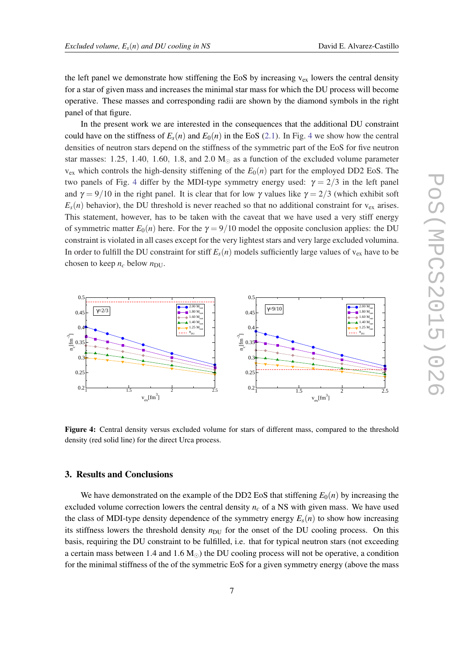<span id="page-6-0"></span>the left panel we demonstrate how stiffening the EoS by increasing  $v_{ex}$  lowers the central density for a star of given mass and increases the minimal star mass for which the DU process will become operative. These masses and corresponding radii are shown by the diamond symbols in the right panel of that figure.

In the present work we are interested in the consequences that the additional DU constraint could have on the stiffness of  $E_s(n)$  and  $E_0(n)$  in the EoS ([2.1](#page-1-0)). In Fig. 4 we show how the central densities of neutron stars depend on the stiffness of the symmetric part of the EoS for five neutron star masses: 1.25, 1.40, 1.60, 1.8, and 2.0  $M<sub>o</sub>$  as a function of the excluded volume parameter  $v_{ex}$  which controls the high-density stiffening of the  $E_0(n)$  part for the employed DD2 EoS. The two panels of Fig. 4 differ by the MDI-type symmetry energy used:  $\gamma = 2/3$  in the left panel and  $\gamma = 9/10$  in the right panel. It is clear that for low  $\gamma$  values like  $\gamma = 2/3$  (which exhibit soft  $E_s(n)$  behavior), the DU threshold is never reached so that no additional constraint for  $v_{ex}$  arises. This statement, however, has to be taken with the caveat that we have used a very stiff energy of symmetric matter  $E_0(n)$  here. For the  $\gamma = 9/10$  model the opposite conclusion applies: the DU constraint is violated in all cases except for the very lightest stars and very large excluded volumina. In order to fulfill the DU constraint for stiff  $E_s(n)$  models sufficiently large values of  $v_{ex}$  have to be chosen to keep  $n_c$  below  $n_{\text{DU}}$ .



Figure 4: Central density versus excluded volume for stars of different mass, compared to the threshold density (red solid line) for the direct Urca process.

# 3. Results and Conclusions

We have demonstrated on the example of the DD2 EoS that stiffening  $E_0(n)$  by increasing the excluded volume correction lowers the central density *n<sup>c</sup>* of a NS with given mass. We have used the class of MDI-type density dependence of the symmetry energy  $E_s(n)$  to show how increasing its stiffness lowers the threshold density  $n_{\text{DU}}$  for the onset of the DU cooling process. On this basis, requiring the DU constraint to be fulfilled, i.e. that for typical neutron stars (not exceeding a certain mass between 1.4 and 1.6  $M_{\odot}$ ) the DU cooling process will not be operative, a condition for the minimal stiffness of the of the symmetric EoS for a given symmetry energy (above the mass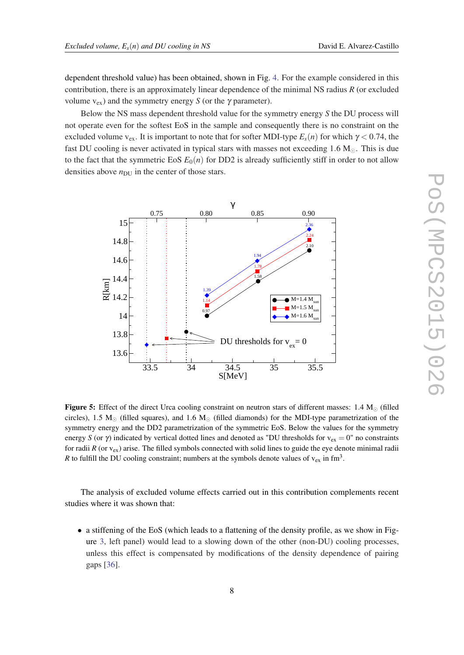dependent threshold value) has been obtained, shown in Fig. [4](#page-6-0). For the example considered in this contribution, there is an approximately linear dependence of the minimal NS radius *R* (or excluded volume  $v_{ex}$ ) and the symmetry energy *S* (or the  $\gamma$  parameter).

Below the NS mass dependent threshold value for the symmetry energy *S* the DU process will not operate even for the softest EoS in the sample and consequently there is no constraint on the excluded volume v<sub>ex</sub>. It is important to note that for softer MDI-type  $E_s(n)$  for which  $\gamma$  < 0.74, the fast DU cooling is never activated in typical stars with masses not exceeding  $1.6 M_{\odot}$ . This is due to the fact that the symmetric EoS  $E_0(n)$  for DD2 is already sufficiently stiff in order to not allow densities above  $n_{\text{DU}}$  in the center of those stars.



Figure 5: Effect of the direct Urca cooling constraint on neutron stars of different masses:  $1.4 M_{\odot}$  (filled circles), 1.5  $M_{\odot}$  (filled squares), and 1.6  $M_{\odot}$  (filled diamonds) for the MDI-type parametrization of the symmetry energy and the DD2 parametrization of the symmetric EoS. Below the values for the symmetry energy *S* (or  $\gamma$ ) indicated by vertical dotted lines and denoted as "DU thresholds for  $v_{ex} = 0$ " no constraints for radii  $R$  (or  $v_{ex}$ ) arise. The filled symbols connected with solid lines to guide the eye denote minimal radii *R* to fulfill the DU cooling constraint; numbers at the symbols denote values of  $v_{ex}$  in fm<sup>3</sup>.

The analysis of excluded volume effects carried out in this contribution complements recent studies where it was shown that:

• a stiffening of the EoS (which leads to a flattening of the density profile, as we show in Figure [3,](#page-5-0) left panel) would lead to a slowing down of the other (non-DU) cooling processes, unless this effect is compensated by modifications of the density dependence of pairing gaps [[36\]](#page-9-0).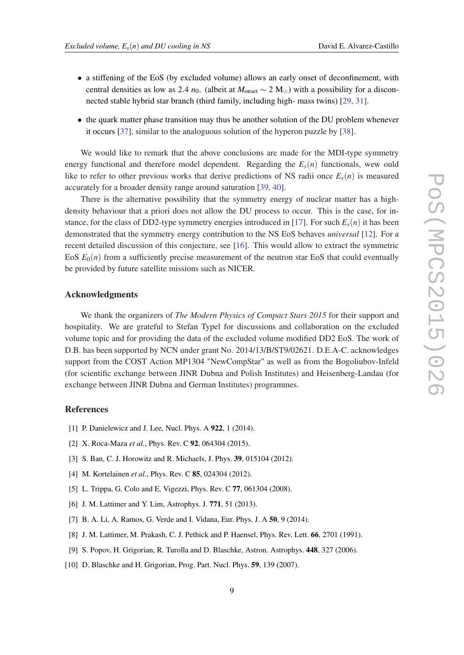- 
- <span id="page-8-0"></span>• a stiffening of the EoS (by excluded volume) allows an early onset of deconfinement, with central densities as low as 2.4 *n*<sub>0</sub>. (albeit at  $M_{\text{onset}} \sim 2 \text{ M}_{\odot}$ ) with a possibility for a disconnected stable hybrid star branch (third family, including high- mass twins) [[29,](#page-9-0) [31](#page-9-0)].
- the quark matter phase transition may thus be another solution of the DU problem whenever it occurs [\[37\]](#page-9-0), similar to the analoguous solution of the hyperon puzzle by [\[38](#page-9-0)].

We would like to remark that the above conclusions are made for the MDI-type symmetry energy functional and therefore model dependent. Regarding the  $E<sub>s</sub>(n)$  functionals, wew ould like to refer to other previous works that derive predictions of NS radii once  $E_s(n)$  is measured accurately for a broader density range around saturation [[39](#page-9-0), [40\]](#page-9-0).

There is the alternative possibility that the symmetry energy of nuclear matter has a highdensity behaviour that a priori does not allow the DU process to occur. This is the case, for in-stance, for the class of DD2-type symmetry energies introduced in [[17\]](#page-9-0). For such  $E_s(n)$  it has been demonstrated that the symmetry energy contribution to the NS EoS behaves *universal* [\[12](#page-9-0)]. For a recent detailed discussion of this conjecture, see [[16\]](#page-9-0). This would allow to extract the symmetric EoS  $E_0(n)$  from a sufficiently precise measurement of the neutron star EoS that could eventually be provided by future satellite missions such as NICER.

#### Acknowledgments

We thank the organizers of *The Modern Physics of Compact Stars 2015* for their support and hospitality. We are grateful to Stefan Typel for discussions and collaboration on the excluded volume topic and for providing the data of the excluded volume modified DD2 EoS. The work of D.B. has been supported by NCN under grant No. 2014/13/B/ST9/02621. D.E.A-C. acknowledges support from the COST Action MP1304 "NewCompStar" as well as from the Bogoliubov-Infeld (for scientific exchange between JINR Dubna and Polish Institutes) and Heisenberg-Landau (for exchange between JINR Dubna and German Institutes) programmes.

## References

- [1] P. Danielewicz and J. Lee, Nucl. Phys. A 922, 1 (2014).
- [2] X. Roca-Maza *et al.*, Phys. Rev. C 92, 064304 (2015).
- [3] S. Ban, C. J. Horowitz and R. Michaels, J. Phys. 39, 015104 (2012).
- [4] M. Kortelainen *et al.*, Phys. Rev. C **85**, 024304 (2012).
- [5] L. Trippa, G. Colo and E. Vigezzi, Phys. Rev. C **77**, 061304 (2008).
- [6] J. M. Lattimer and Y. Lim, Astrophys. J. 771, 51 (2013).
- [7] B. A. Li, A. Ramos, G. Verde and I. Vidana, Eur. Phys. J. A 50, 9 (2014).
- [8] J. M. Lattimer, M. Prakash, C. J. Pethick and P. Haensel, Phys. Rev. Lett. 66, 2701 (1991).
- [9] S. Popov, H. Grigorian, R. Turolla and D. Blaschke, Astron. Astrophys. 448, 327 (2006).
- [10] D. Blaschke and H. Grigorian, Prog. Part. Nucl. Phys. **59**, 139 (2007).